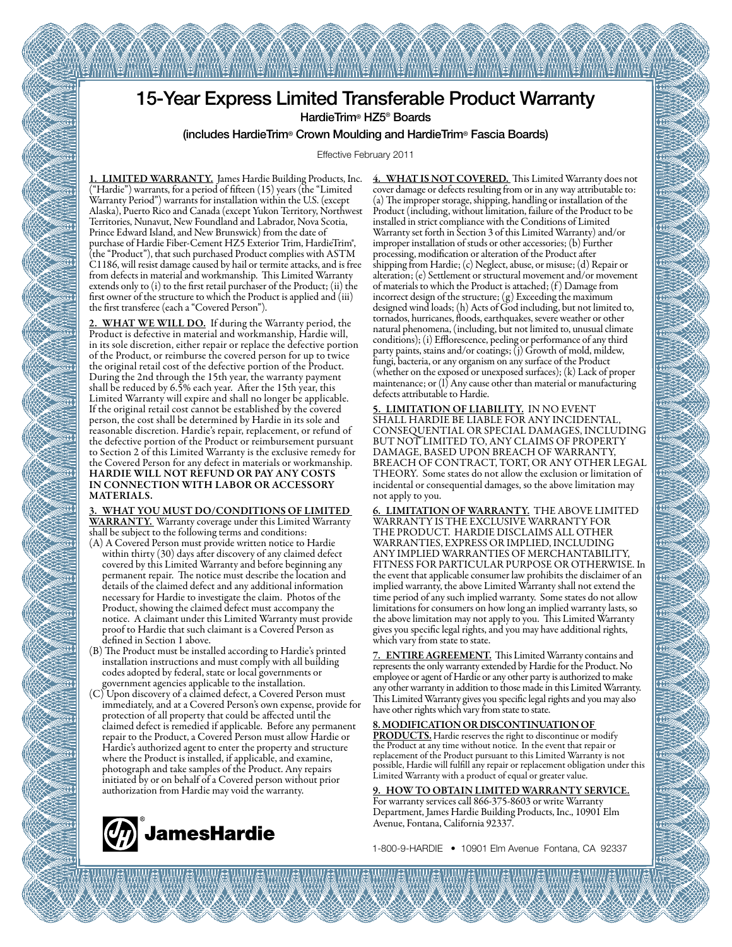

EE MAAM EE MAAM EE MAAM EE MAAM EE MAAM EE DAARM EE MAAM

HardieTrim® HZ5® Boards

(includes HardieTrim® Crown Moulding and HardieTrim® Fascia Boards)

Effective February 2011

1. LIMITED WARRANTY. James Hardie Building Products, Inc. ("Hardie") warrants, for a period of fifteen (15) years (the "Limited Warranty Period") warrants for installation within the U.S. (except Alaska), Puerto Rico and Canada (except Yukon Territory, Northwest Territories, Nunavut, New Foundland and Labrador, Nova Scotia, Prince Edward Island, and New Brunswick) from the date of purchase of Hardie Fiber-Cement HZ5 Exterior Trim, HardieTrim<sup>®</sup>, (the "Product"), that such purchased Product complies with ASTM C1186, will resist damage caused by hail or termite attacks, and is free from defects in material and workmanship. This Limited Warranty extends only to (i) to the first retail purchaser of the Product; (ii) the first owner of the structure to which the Product is applied and (iii) the first transferee (each a "Covered Person").

2. WHAT WE WILL DO. If during the Warranty period, the Product is defective in material and workmanship, Hardie will, in its sole discretion, either repair or replace the defective portion of the Product, or reimburse the covered person for up to twice the original retail cost of the defective portion of the Product. During the 2nd through the 15th year, the warranty payment shall be reduced by 6.5% each year. After the 15th year, this Limited Warranty will expire and shall no longer be applicable. If the original retail cost cannot be established by the covered person, the cost shall be determined by Hardie in its sole and reasonable discretion. Hardie's repair, replacement, or refund of the defective portion of the Product or reimbursement pursuant to Section 2 of this Limited Warranty is the exclusive remedy for the Covered Person for any defect in materials or workmanship. HARDIE WILL NOT REFUND OR PAY ANY COSTS IN CONNECTION WITH LABOR OR ACCESSORY MATERIALS.

3. WHAT YOU MUST DO/CONDITIONS OF LIMITED WARRANTY. Warranty coverage under this Limited Warranty shall be subject to the following terms and conditions:

- (A) A Covered Person must provide written notice to Hardie within thirty (30) days after discovery of any claimed defect covered by this Limited Warranty and before beginning any permanent repair. The notice must describe the location and details of the claimed defect and any additional information necessary for Hardie to investigate the claim. Photos of the Product, showing the claimed defect must accompany the notice. A claimant under this Limited Warranty must provide proof to Hardie that such claimant is a Covered Person as defined in Section 1 above.
- (B) The Product must be installed according to Hardie's printed installation instructions and must comply with all building codes adopted by federal, state or local governments or government agencies applicable to the installation.
- (C) Upon discovery of a claimed defect, a Covered Person must immediately, and at a Covered Person's own expense, provide for protection of all property that could be affected until the claimed defect is remedied if applicable. Before any permanent repair to the Product, a Covered Person must allow Hardie or Hardie's authorized agent to enter the property and structure where the Product is installed, if applicable, and examine, photograph and take samples of the Product. Any repairs initiated by or on behalf of a Covered person without prior authorization from Hardie may void the warranty.



4. WHAT IS NOT COVERED. This Limited Warranty does not cover damage or defects resulting from or in any way attributable to: (a) The improper storage, shipping, handling or installation of the Product (including, without limitation, failure of the Product to be installed in strict compliance with the Conditions of Limited Warranty set forth in Section 3 of this Limited Warranty) and/or improper installation of studs or other accessories; (b) Further processing, modification or alteration of the Product after shipping from Hardie; (c) Neglect, abuse, or misuse; (d) Repair or alteration; (e) Settlement or structural movement and/or movement of materials to which the Product is attached; (f ) Damage from incorrect design of the structure; (g) Exceeding the maximum designed wind loads; (h) Acts of God including, but not limited to, tornados, hurricanes, floods, earthquakes, severe weather or other natural phenomena, (including, but not limited to, unusual climate conditions); (i) Efflorescence, peeling or performance of any third party paints, stains and/or coatings; (j) Growth of mold, mildew, fungi, bacteria, or any organism on any surface of the Product (whether on the exposed or unexposed surfaces); (k) Lack of proper maintenance; or (l) Any cause other than material or manufacturing defects attributable to Hardie.

LIMITATION OF LIABILITY. IN NO EVENT SHALL HARDIE BE LIABLE FOR ANY INCIDENTAL, CONSEQUENTIAL OR SPECIAL DAMAGES, INCLUDING BUT NOT LIMITED TO, ANY CLAIMS OF PROPERTY DAMAGE, BASED UPON BREACH OF WARRANTY, BREACH OF CONTRACT, TORT, OR ANY OTHER LEGAL THEORY. Some states do not allow the exclusion or limitation of incidental or consequential damages, so the above limitation may not apply to you.

6. LIMITATION OF WARRANTY. THE ABOVE LIMITED WARRANTY IS THE EXCLUSIVE WARRANTY FOR THE PRODUCT. HARDIE DISCLAIMS ALL OTHER WARRANTIES, EXPRESS OR IMPLIED, INCLUDING ANY IMPLIED WARRANTIES OF MERCHANTABILITY, FITNESS FOR PARTICULAR PURPOSE OR OTHERWISE. In the event that applicable consumer law prohibits the disclaimer of an implied warranty, the above Limited Warranty shall not extend the time period of any such implied warranty. Some states do not allow limitations for consumers on how long an implied warranty lasts, so the above limitation may not apply to you. This Limited Warranty gives you specific legal rights, and you may have additional rights, which vary from state to state.

7. ENTIRE AGREEMENT. This Limited Warranty contains and represents the only warranty extended by Hardie for the Product. No employee or agent of Hardie or any other party is authorized to make any other warranty in addition to those made in this Limited Warranty. This Limited Warranty gives you specific legal rights and you may also have other rights which vary from state to state.

8. MODIFICATION OR DISCONTINUATION OF<br>PRODUCTS. Hardie reserves the right to discontinue or modify the Product at any time without notice. In the event that repair or replacement of the Product pursuant to this Limited Warranty is not possible, Hardie will fulfill any repair or replacement obligation under this Limited Warranty with a product of equal or greater value.

9. HOW TO OBTAIN LIMITED WARRANTY SERVICE. For warranty services call 866-375-8603 or write Warranty Department, James Hardie Building Products, Inc., 10901 Elm Avenue, Fontana, California 92337.

1-800-9-HARDIE • 10901 Elm Avenue Fontana, CA 92337